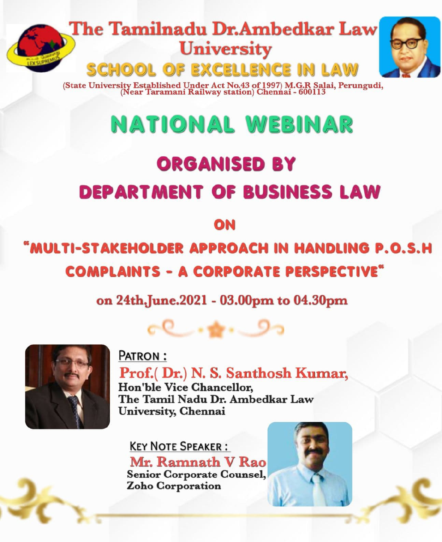# The Tamilnadu Dr.Ambedkar Law University<br>SCHOOL OF EXCELLENCE IN LAW



(State University Established Under Act No.43 of 1997) M.G.R Salai, Perungudi, (Near Taramani Railway station) Chennai - 600113

## NATIONAL WEBINAR

## ORGANISED BY DEPARTMENT OF BUSINESS LAW

**ON** 

## "MULTI-STAKEHOLDER APPROACH IN HANDLING P.O.s.H **COMPLAINTS - A CORPORATE PERSPECTIVE"**

on 24th.June. 2021 - 03.00pm to 04.30pm

ce......9



PATRON: Prof.( Dr.) N. S. Santhosh Kumar, Hon'ble Vice Chancellor, The Tamil Nadu Dr. Ambedkar Law University, Chennai

KEY NOTE SPEAKER: Mr. Ramnath V Rao Senior Corporate Counsel, Zoho Corporation

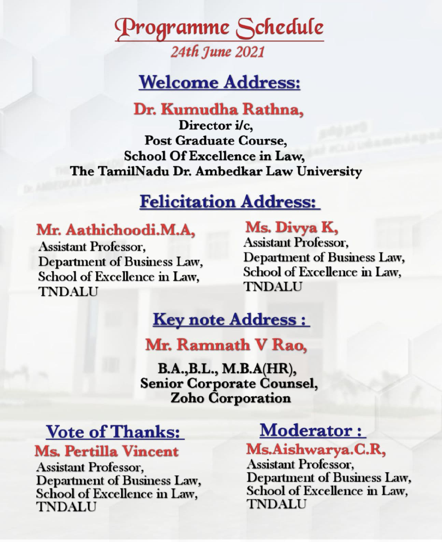## Programme Schedule 24th June 2021

## Welcome Address:

### Dr. Kumudha Rathna,

Director i/c, Post Graduate Course, School Of Excellence in Law, The TamilNadu Dr. Ambedkar Law University

## Felicitation Address:

#### Mr. Aathichoodi.M.A,

Assistant Professor, Department of Business Law, School of Excellence in Law, TNDALU TNDALU

### Ms. Divya K,

Assistant Professor, Department of Business Law, School of Excellence in Law,

### **Key note Address :**

### Mr. Ramnath V Rao

B.A.B.L., M.B.A(HR), Senior Corporate Counsel,<br>Zoho Corporation

#### Vote of Thanks: Ms. Pertilla Vincent

Assistant Professor, Department of Business Law, School of Excellence in Law, TNDALU

### Moderator:

### Ms.Aishwarya.C.R,

Assistant Professor, Department of Business Law, School of Excellence in Law, TNDALU